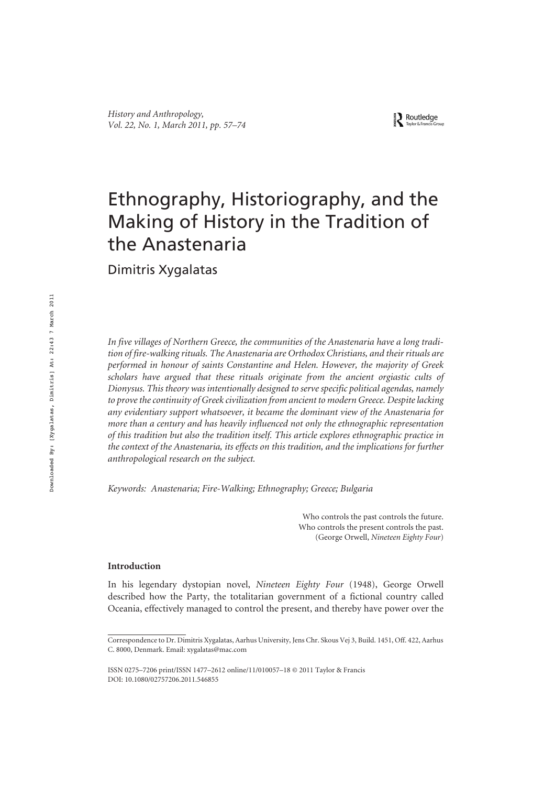$\sum_{n=1}^{\infty}$  Routledge

# Ethnography, Historiography, and the Making of History in the Tradition of the Anastenaria

Dimitris Xygalatas

*In five villages of Northern Greece, the communities of the Anastenaria have a long tradition of fire-walking rituals. The Anastenaria are Orthodox Christians, and their rituals are performed in honour of saints Constantine and Helen. However, the majority of Greek scholars have argued that these rituals originate from the ancient orgiastic cults of Dionysus. This theory was intentionally designed to serve specific political agendas, namely to prove the continuity of Greek civilization from ancient to modern Greece. Despite lacking any evidentiary support whatsoever, it became the dominant view of the Anastenaria for more than a century and has heavily influenced not only the ethnographic representation of this tradition but also the tradition itself. This article explores ethnographic practice in the context of the Anastenaria, its effects on this tradition, and the implications for further anthropological research on the subject.*

*Keywords: Anastenaria; Fire-Walking; Ethnography; Greece; Bulgaria*

Who controls the past controls the future. Who controls the present controls the past. (George Orwell, *Nineteen Eighty Four*)

## **Introduction**

In his legendary dystopian novel, *Nineteen Eighty Four* (1948), George Orwell described how the Party, the totalitarian government of a fictional country called Oceania, effectively managed to control the present, and thereby have power over the

Correspondence to Dr. Dimitris Xygalatas, Aarhus University, Jens Chr. Skous Vej 3, Build. 1451, Off. 422, Aarhus C. 8000, Denmark. Email: xygalatas@mac.com

ISSN 0275–7206 print/ISSN 1477–2612 online/11/010057–18 © 2011 Taylor & Francis DOI: 10.1080/02757206.2011.546855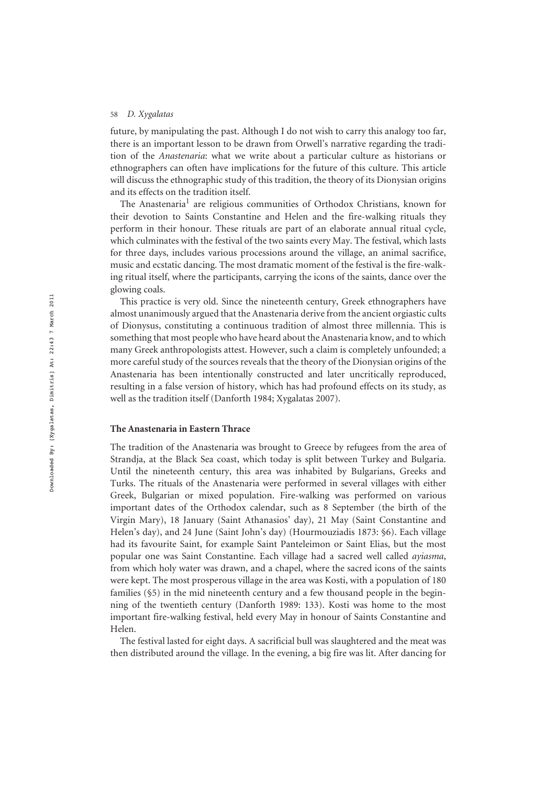future, by manipulating the past. Although I do not wish to carry this analogy too far, there is an important lesson to be drawn from Orwell's narrative regarding the tradition of the *Anastenaria*: what we write about a particular culture as historians or ethnographers can often have implications for the future of this culture. This article will discuss the ethnographic study of this tradition, the theory of its Dionysian origins and its effects on the tradition itself.

The Anastenaria<sup>1</sup> are religious communities of Orthodox Christians, known for their devotion to Saints Constantine and Helen and the fire-walking rituals they perform in their honour. These rituals are part of an elaborate annual ritual cycle, which culminates with the festival of the two saints every May. The festival, which lasts for three days, includes various processions around the village, an animal sacrifice, music and ecstatic dancing. The most dramatic moment of the festival is the fire-walking ritual itself, where the participants, carrying the icons of the saints, dance over the glowing coals.

This practice is very old. Since the nineteenth century, Greek ethnographers have almost unanimously argued that the Anastenaria derive from the ancient orgiastic cults of Dionysus, constituting a continuous tradition of almost three millennia. This is something that most people who have heard about the Anastenaria know, and to which many Greek anthropologists attest. However, such a claim is completely unfounded; a more careful study of the sources reveals that the theory of the Dionysian origins of the Anastenaria has been intentionally constructed and later uncritically reproduced, resulting in a false version of history, which has had profound effects on its study, as well as the tradition itself (Danforth 1984; Xygalatas 2007).

## **The Anastenaria in Eastern Thrace**

The tradition of the Anastenaria was brought to Greece by refugees from the area of Strandja, at the Black Sea coast, which today is split between Turkey and Bulgaria. Until the nineteenth century, this area was inhabited by Bulgarians, Greeks and Turks. The rituals of the Anastenaria were performed in several villages with either Greek, Bulgarian or mixed population. Fire-walking was performed on various important dates of the Orthodox calendar, such as 8 September (the birth of the Virgin Mary), 18 January (Saint Athanasios' day), 21 May (Saint Constantine and Helen's day), and 24 June (Saint John's day) (Hourmouziadis 1873: §6). Each village had its favourite Saint, for example Saint Panteleimon or Saint Elias, but the most popular one was Saint Constantine. Each village had a sacred well called *ayiasma*, from which holy water was drawn, and a chapel, where the sacred icons of the saints were kept. The most prosperous village in the area was Kosti, with a population of 180 families (§5) in the mid nineteenth century and a few thousand people in the beginning of the twentieth century (Danforth 1989: 133). Kosti was home to the most important fire-walking festival, held every May in honour of Saints Constantine and Helen.

The festival lasted for eight days. A sacrificial bull was slaughtered and the meat was then distributed around the village. In the evening, a big fire was lit. After dancing for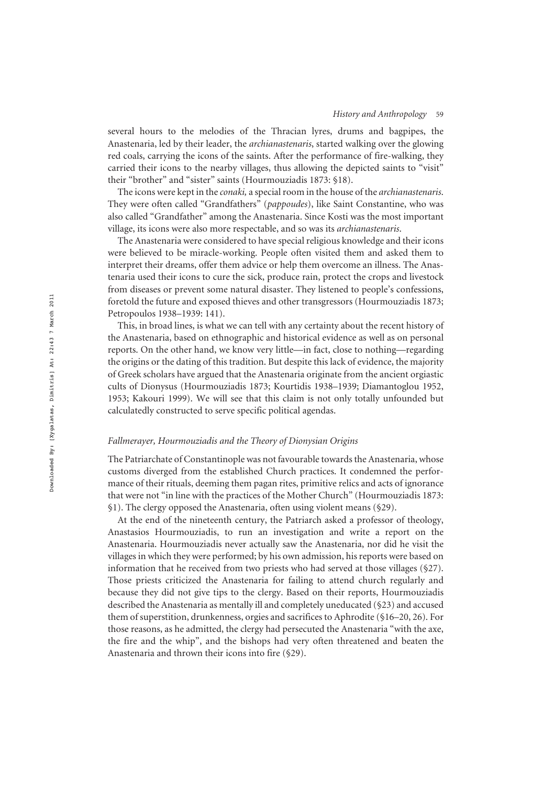several hours to the melodies of the Thracian lyres, drums and bagpipes, the Anastenaria, led by their leader, the *archianastenaris*, started walking over the glowing red coals, carrying the icons of the saints. After the performance of fire-walking, they carried their icons to the nearby villages, thus allowing the depicted saints to "visit" their "brother" and "sister" saints (Hourmouziadis 1873: §18).

The icons were kept in the *conaki,* a special room in the house of the *archianastenaris*. They were often called "Grandfathers" (*pappoudes*), like Saint Constantine, who was also called "Grandfather" among the Anastenaria. Since Kosti was the most important village, its icons were also more respectable, and so was its *archianastenaris*.

The Anastenaria were considered to have special religious knowledge and their icons were believed to be miracle-working. People often visited them and asked them to interpret their dreams, offer them advice or help them overcome an illness. The Anastenaria used their icons to cure the sick, produce rain, protect the crops and livestock from diseases or prevent some natural disaster. They listened to people's confessions, foretold the future and exposed thieves and other transgressors (Hourmouziadis 1873; Petropoulos 1938–1939: 141).

This, in broad lines, is what we can tell with any certainty about the recent history of the Anastenaria, based on ethnographic and historical evidence as well as on personal reports. On the other hand, we know very little—in fact, close to nothing—regarding the origins or the dating of this tradition. But despite this lack of evidence, the majority of Greek scholars have argued that the Anastenaria originate from the ancient orgiastic cults of Dionysus (Hourmouziadis 1873; Kourtidis 1938–1939; Diamantoglou 1952, 1953; Kakouri 1999). We will see that this claim is not only totally unfounded but calculatedly constructed to serve specific political agendas.

### *Fallmerayer, Hourmouziadis and the Theory of Dionysian Origins*

The Patriarchate of Constantinople was not favourable towards the Anastenaria, whose customs diverged from the established Church practices. It condemned the performance of their rituals, deeming them pagan rites, primitive relics and acts of ignorance that were not "in line with the practices of the Mother Church" (Hourmouziadis 1873: §1). The clergy opposed the Anastenaria, often using violent means (§29).

At the end of the nineteenth century, the Patriarch asked a professor of theology, Anastasios Hourmouziadis, to run an investigation and write a report on the Anastenaria. Hourmouziadis never actually saw the Anastenaria, nor did he visit the villages in which they were performed; by his own admission, his reports were based on information that he received from two priests who had served at those villages (§27). Those priests criticized the Anastenaria for failing to attend church regularly and because they did not give tips to the clergy. Based on their reports, Hourmouziadis described the Anastenaria as mentally ill and completely uneducated (§23) and accused them of superstition, drunkenness, orgies and sacrifices to Aphrodite (§16–20, 26). For those reasons, as he admitted, the clergy had persecuted the Anastenaria "with the axe, the fire and the whip", and the bishops had very often threatened and beaten the Anastenaria and thrown their icons into fire (§29).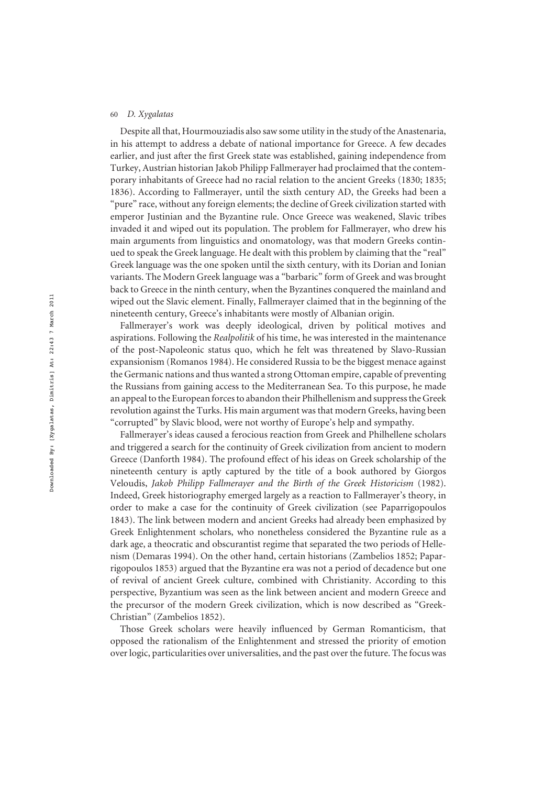Despite all that, Hourmouziadis also saw some utility in the study of the Anastenaria, in his attempt to address a debate of national importance for Greece. A few decades earlier, and just after the first Greek state was established, gaining independence from Turkey, Austrian historian Jakob Philipp Fallmerayer had proclaimed that the contemporary inhabitants of Greece had no racial relation to the ancient Greeks (1830; 1835; 1836). According to Fallmerayer, until the sixth century AD, the Greeks had been a "pure" race, without any foreign elements; the decline of Greek civilization started with emperor Justinian and the Byzantine rule. Once Greece was weakened, Slavic tribes invaded it and wiped out its population. The problem for Fallmerayer, who drew his main arguments from linguistics and onomatology, was that modern Greeks continued to speak the Greek language. He dealt with this problem by claiming that the "real" Greek language was the one spoken until the sixth century, with its Dorian and Ionian variants. The Modern Greek language was a "barbaric" form of Greek and was brought back to Greece in the ninth century, when the Byzantines conquered the mainland and wiped out the Slavic element. Finally, Fallmerayer claimed that in the beginning of the nineteenth century, Greece's inhabitants were mostly of Albanian origin.

Fallmerayer's work was deeply ideological, driven by political motives and aspirations. Following the *Realpolitik* of his time, he was interested in the maintenance of the post-Napoleonic status quo, which he felt was threatened by Slavo-Russian expansionism (Romanos 1984). He considered Russia to be the biggest menace against the Germanic nations and thus wanted a strong Ottoman empire, capable of preventing the Russians from gaining access to the Mediterranean Sea. To this purpose, he made an appeal to the European forces to abandon their Philhellenism and suppress the Greek revolution against the Turks. His main argument was that modern Greeks, having been "corrupted" by Slavic blood, were not worthy of Europe's help and sympathy.

Fallmerayer's ideas caused a ferocious reaction from Greek and Philhellene scholars and triggered a search for the continuity of Greek civilization from ancient to modern Greece (Danforth 1984). The profound effect of his ideas on Greek scholarship of the nineteenth century is aptly captured by the title of a book authored by Giorgos Veloudis, *Jakob Philipp Fallmerayer and the Birth of the Greek Historicism* (1982). Indeed, Greek historiography emerged largely as a reaction to Fallmerayer's theory, in order to make a case for the continuity of Greek civilization (see Paparrigopoulos 1843). The link between modern and ancient Greeks had already been emphasized by Greek Enlightenment scholars, who nonetheless considered the Byzantine rule as a dark age, a theocratic and obscurantist regime that separated the two periods of Hellenism (Demaras 1994). On the other hand, certain historians (Zambelios 1852; Paparrigopoulos 1853) argued that the Byzantine era was not a period of decadence but one of revival of ancient Greek culture, combined with Christianity. According to this perspective, Byzantium was seen as the link between ancient and modern Greece and the precursor of the modern Greek civilization, which is now described as "Greek-Christian" (Zambelios 1852).

Those Greek scholars were heavily influenced by German Romanticism, that opposed the rationalism of the Enlightenment and stressed the priority of emotion over logic, particularities over universalities, and the past over the future. The focus was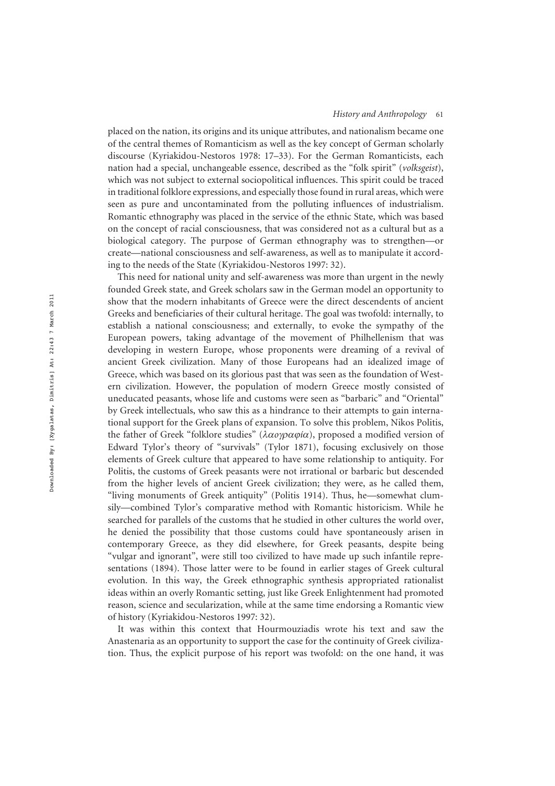placed on the nation, its origins and its unique attributes, and nationalism became one of the central themes of Romanticism as well as the key concept of German scholarly discourse (Kyriakidou-Nestoros 1978: 17–33). For the German Romanticists, each nation had a special, unchangeable essence, described as the "folk spirit" (*volksgeist*), which was not subject to external sociopolitical influences. This spirit could be traced in traditional folklore expressions, and especially those found in rural areas, which were seen as pure and uncontaminated from the polluting influences of industrialism. Romantic ethnography was placed in the service of the ethnic State, which was based on the concept of racial consciousness, that was considered not as a cultural but as a biological category. The purpose of German ethnography was to strengthen—or create—national consciousness and self-awareness, as well as to manipulate it according to the needs of the State (Kyriakidou-Nestoros 1997: 32).

This need for national unity and self-awareness was more than urgent in the newly founded Greek state, and Greek scholars saw in the German model an opportunity to show that the modern inhabitants of Greece were the direct descendents of ancient Greeks and beneficiaries of their cultural heritage. The goal was twofold: internally, to establish a national consciousness; and externally, to evoke the sympathy of the European powers, taking advantage of the movement of Philhellenism that was developing in western Europe, whose proponents were dreaming of a revival of ancient Greek civilization. Many of those Europeans had an idealized image of Greece, which was based on its glorious past that was seen as the foundation of Western civilization. However, the population of modern Greece mostly consisted of uneducated peasants, whose life and customs were seen as "barbaric" and "Oriental" by Greek intellectuals, who saw this as a hindrance to their attempts to gain international support for the Greek plans of expansion. To solve this problem, Nikos Politis, the father of Greek "folklore studies" (λαογραφία), proposed a modified version of Edward Tylor's theory of "survivals" (Tylor 1871), focusing exclusively on those elements of Greek culture that appeared to have some relationship to antiquity. For Politis, the customs of Greek peasants were not irrational or barbaric but descended from the higher levels of ancient Greek civilization; they were, as he called them, "living monuments of Greek antiquity" (Politis 1914). Thus, he—somewhat clumsily—combined Tylor's comparative method with Romantic historicism. While he searched for parallels of the customs that he studied in other cultures the world over, he denied the possibility that those customs could have spontaneously arisen in contemporary Greece, as they did elsewhere, for Greek peasants, despite being "vulgar and ignorant", were still too civilized to have made up such infantile representations (1894). Those latter were to be found in earlier stages of Greek cultural evolution. In this way, the Greek ethnographic synthesis appropriated rationalist ideas within an overly Romantic setting, just like Greek Enlightenment had promoted reason, science and secularization, while at the same time endorsing a Romantic view of history (Kyriakidou-Nestoros 1997: 32).

It was within this context that Hourmouziadis wrote his text and saw the Anastenaria as an opportunity to support the case for the continuity of Greek civilization. Thus, the explicit purpose of his report was twofold: on the one hand, it was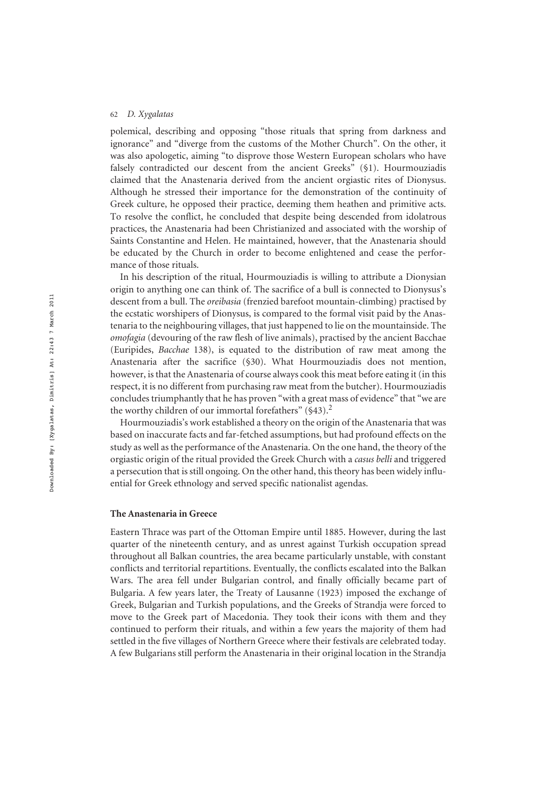polemical, describing and opposing "those rituals that spring from darkness and ignorance" and "diverge from the customs of the Mother Church". On the other, it was also apologetic, aiming "to disprove those Western European scholars who have falsely contradicted our descent from the ancient Greeks" (§1). Hourmouziadis claimed that the Anastenaria derived from the ancient orgiastic rites of Dionysus. Although he stressed their importance for the demonstration of the continuity of Greek culture, he opposed their practice, deeming them heathen and primitive acts. To resolve the conflict, he concluded that despite being descended from idolatrous practices, the Anastenaria had been Christianized and associated with the worship of Saints Constantine and Helen. He maintained, however, that the Anastenaria should be educated by the Church in order to become enlightened and cease the performance of those rituals.

In his description of the ritual, Hourmouziadis is willing to attribute a Dionysian origin to anything one can think of. The sacrifice of a bull is connected to Dionysus's descent from a bull. The *oreibasia* (frenzied barefoot mountain-climbing) practised by the ecstatic worshipers of Dionysus, is compared to the formal visit paid by the Anastenaria to the neighbouring villages, that just happened to lie on the mountainside. The *omofagia* (devouring of the raw flesh of live animals), practised by the ancient Bacchae (Euripides, *Bacchae* 138), is equated to the distribution of raw meat among the Anastenaria after the sacrifice (§30). What Hourmouziadis does not mention, however, is that the Anastenaria of course always cook this meat before eating it (in this respect, it is no different from purchasing raw meat from the butcher). Hourmouziadis concludes triumphantly that he has proven "with a great mass of evidence" that "we are the worthy children of our immortal forefathers"  $(§43).^{2}$ 

Hourmouziadis's work established a theory on the origin of the Anastenaria that was based on inaccurate facts and far-fetched assumptions, but had profound effects on the study as well as the performance of the Anastenaria. On the one hand, the theory of the orgiastic origin of the ritual provided the Greek Church with a *casus belli* and triggered a persecution that is still ongoing. On the other hand, this theory has been widely influential for Greek ethnology and served specific nationalist agendas.

## **The Anastenaria in Greece**

Eastern Thrace was part of the Ottoman Empire until 1885. However, during the last quarter of the nineteenth century, and as unrest against Turkish occupation spread throughout all Balkan countries, the area became particularly unstable, with constant conflicts and territorial repartitions. Eventually, the conflicts escalated into the Balkan Wars. The area fell under Bulgarian control, and finally officially became part of Bulgaria. A few years later, the Treaty of Lausanne (1923) imposed the exchange of Greek, Bulgarian and Turkish populations, and the Greeks of Strandja were forced to move to the Greek part of Macedonia. They took their icons with them and they continued to perform their rituals, and within a few years the majority of them had settled in the five villages of Northern Greece where their festivals are celebrated today. A few Bulgarians still perform the Anastenaria in their original location in the Strandja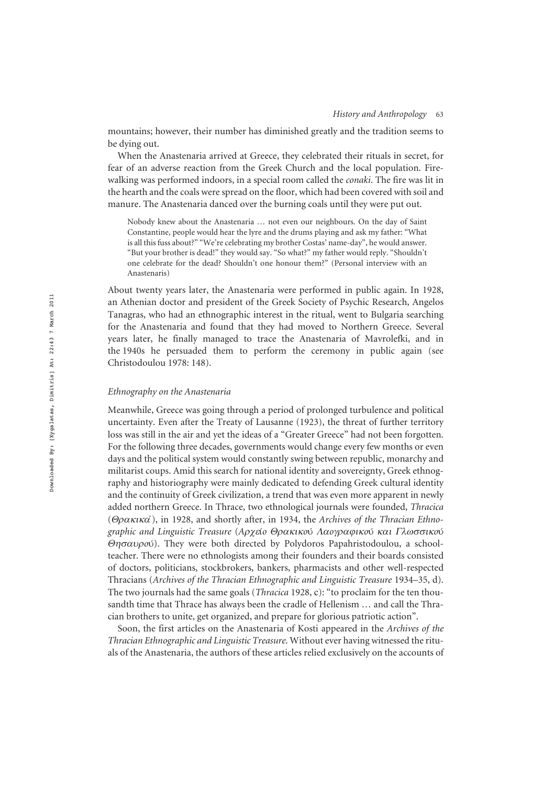mountains; however, their number has diminished greatly and the tradition seems to be dying out.

When the Anastenaria arrived at Greece, they celebrated their rituals in secret, for fear of an adverse reaction from the Greek Church and the local population. Firewalking was performed indoors, in a special room called the *conaki*. The fire was lit in the hearth and the coals were spread on the floor, which had been covered with soil and manure. The Anastenaria danced over the burning coals until they were put out.

Nobody knew about the Anastenaria … not even our neighbours. On the day of Saint Constantine, people would hear the lyre and the drums playing and ask my father: "What is all this fuss about?" "We're celebrating my brother Costas' name-day", he would answer. "But your brother is dead!" they would say. "So what?" my father would reply. "Shouldn't one celebrate for the dead? Shouldn't one honour them?" (Personal interview with an Anastenaris)

About twenty years later, the Anastenaria were performed in public again. In 1928, an Athenian doctor and president of the Greek Society of Psychic Research, Angelos Tanagras, who had an ethnographic interest in the ritual, went to Bulgaria searching for the Anastenaria and found that they had moved to Northern Greece. Several years later, he finally managed to trace the Anastenaria of Mavrolefki, and in the 1940s he persuaded them to perform the ceremony in public again (see Christodoulou 1978: 148).

## *Ethnography on the Anastenaria*

Meanwhile, Greece was going through a period of prolonged turbulence and political uncertainty. Even after the Treaty of Lausanne (1923), the threat of further territory loss was still in the air and yet the ideas of a "Greater Greece" had not been forgotten. For the following three decades, governments would change every few months or even days and the political system would constantly swing between republic, monarchy and militarist coups. Amid this search for national identity and sovereignty, Greek ethnography and historiography were mainly dedicated to defending Greek cultural identity and the continuity of Greek civilization, a trend that was even more apparent in newly added northern Greece. In Thrace, two ethnological journals were founded, *Thracica* (Θρακικα*´*), in 1928, and shortly after, in 1934, the *Archives of the Thracian Ethno*graphic and Linguistic Treasure (Αρχείο Θρακικού Λαογραφικού και Γλωσσικού Θησαυρού). They were both directed by Polydoros Papahristodoulou, a schoolteacher. There were no ethnologists among their founders and their boards consisted of doctors, politicians, stockbrokers, bankers, pharmacists and other well-respected Thracians (*Archives of the Thracian Ethnographic and Linguistic Treasure* 1934–35, d). The two journals had the same goals (*Thracica* 1928, c): "to proclaim for the ten thousandth time that Thrace has always been the cradle of Hellenism … and call the Thracian brothers to unite, get organized, and prepare for glorious patriotic action".

Soon, the first articles on the Anastenaria of Kosti appeared in the *Archives of the Thracian Ethnographic and Linguistic Treasure*. Without ever having witnessed the rituals of the Anastenaria, the authors of these articles relied exclusively on the accounts of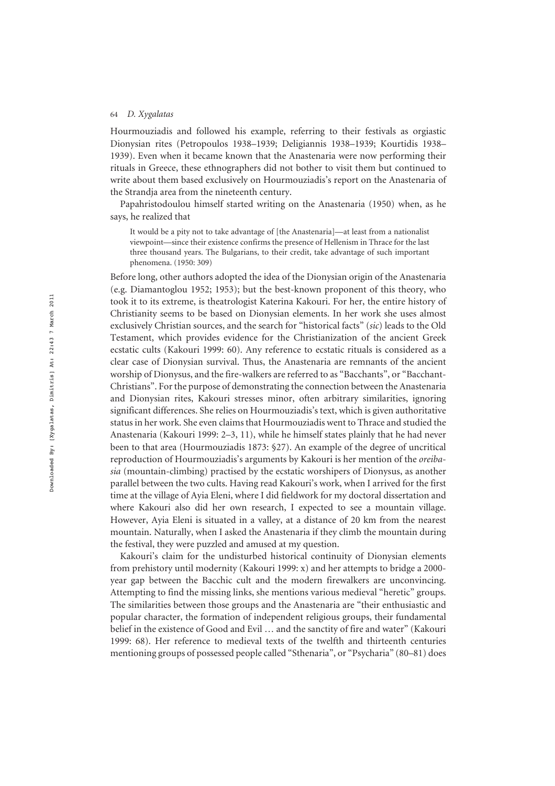Hourmouziadis and followed his example, referring to their festivals as orgiastic Dionysian rites (Petropoulos 1938–1939; Deligiannis 1938–1939; Kourtidis 1938– 1939). Even when it became known that the Anastenaria were now performing their rituals in Greece, these ethnographers did not bother to visit them but continued to write about them based exclusively on Hourmouziadis's report on the Anastenaria of the Strandja area from the nineteenth century.

Papahristodoulou himself started writing on the Anastenaria (1950) when, as he says, he realized that

It would be a pity not to take advantage of [the Anastenaria]—at least from a nationalist viewpoint—since their existence confirms the presence of Hellenism in Thrace for the last three thousand years. The Bulgarians, to their credit, take advantage of such important phenomena. (1950: 309)

Before long, other authors adopted the idea of the Dionysian origin of the Anastenaria (e.g. Diamantoglou 1952; 1953); but the best-known proponent of this theory, who took it to its extreme, is theatrologist Katerina Kakouri. For her, the entire history of Christianity seems to be based on Dionysian elements. In her work she uses almost exclusively Christian sources, and the search for "historical facts" (*sic*) leads to the Old Testament, which provides evidence for the Christianization of the ancient Greek ecstatic cults (Kakouri 1999: 60). Any reference to ecstatic rituals is considered as a clear case of Dionysian survival. Thus, the Anastenaria are remnants of the ancient worship of Dionysus, and the fire-walkers are referred to as "Bacchants", or "Bacchant-Christians". For the purpose of demonstrating the connection between the Anastenaria and Dionysian rites, Kakouri stresses minor, often arbitrary similarities, ignoring significant differences. She relies on Hourmouziadis's text, which is given authoritative status in her work. She even claims that Hourmouziadis went to Thrace and studied the Anastenaria (Kakouri 1999: 2–3, 11), while he himself states plainly that he had never been to that area (Hourmouziadis 1873: §27). An example of the degree of uncritical reproduction of Hourmouziadis's arguments by Kakouri is her mention of the *oreibasia* (mountain-climbing) practised by the ecstatic worshipers of Dionysus, as another parallel between the two cults. Having read Kakouri's work, when I arrived for the first time at the village of Ayia Eleni, where I did fieldwork for my doctoral dissertation and where Kakouri also did her own research, I expected to see a mountain village. However, Ayia Eleni is situated in a valley, at a distance of 20 km from the nearest mountain. Naturally, when I asked the Anastenaria if they climb the mountain during the festival, they were puzzled and amused at my question.

Kakouri's claim for the undisturbed historical continuity of Dionysian elements from prehistory until modernity (Kakouri 1999: x) and her attempts to bridge a 2000 year gap between the Bacchic cult and the modern firewalkers are unconvincing. Attempting to find the missing links, she mentions various medieval "heretic" groups. The similarities between those groups and the Anastenaria are "their enthusiastic and popular character, the formation of independent religious groups, their fundamental belief in the existence of Good and Evil … and the sanctity of fire and water" (Kakouri 1999: 68). Her reference to medieval texts of the twelfth and thirteenth centuries mentioning groups of possessed people called "Sthenaria", or "Psycharia" (80–81) does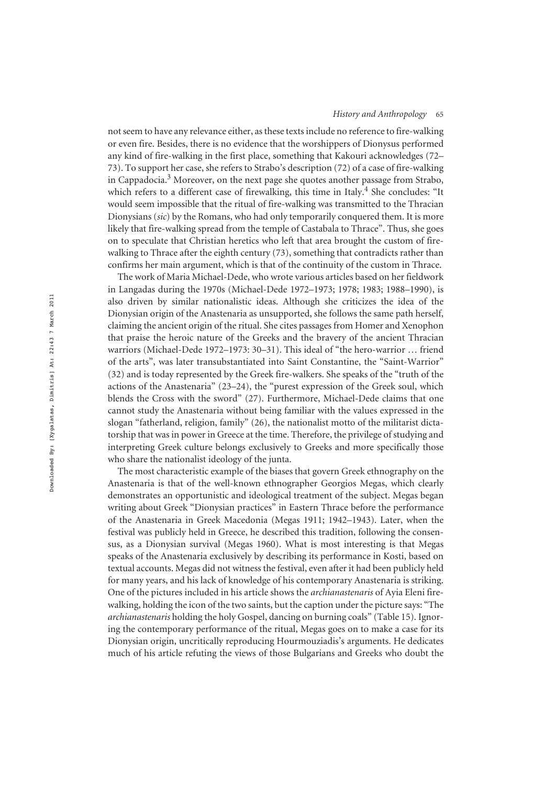not seem to have any relevance either, as these texts include no reference to fire-walking or even fire. Besides, there is no evidence that the worshippers of Dionysus performed any kind of fire-walking in the first place, something that Kakouri acknowledges (72– 73). To support her case, she refers to Strabo's description (72) of a case of fire-walking in Cappadocia.3 Moreover, on the next page she quotes another passage from Strabo, which refers to a different case of firewalking, this time in Italy.<sup>4</sup> She concludes: "It would seem impossible that the ritual of fire-walking was transmitted to the Thracian Dionysians (*sic*) by the Romans, who had only temporarily conquered them. It is more likely that fire-walking spread from the temple of Castabala to Thrace". Thus, she goes on to speculate that Christian heretics who left that area brought the custom of firewalking to Thrace after the eighth century (73), something that contradicts rather than confirms her main argument, which is that of the continuity of the custom in Thrace.

The work of Maria Michael-Dede, who wrote various articles based on her fieldwork in Langadas during the 1970s (Michael-Dede 1972–1973; 1978; 1983; 1988–1990), is also driven by similar nationalistic ideas. Although she criticizes the idea of the Dionysian origin of the Anastenaria as unsupported, she follows the same path herself, claiming the ancient origin of the ritual. She cites passages from Homer and Xenophon that praise the heroic nature of the Greeks and the bravery of the ancient Thracian warriors (Michael-Dede 1972–1973: 30–31). This ideal of "the hero-warrior … friend of the arts", was later transubstantiated into Saint Constantine, the "Saint-Warrior" (32) and is today represented by the Greek fire-walkers. She speaks of the "truth of the actions of the Anastenaria" (23–24), the "purest expression of the Greek soul, which blends the Cross with the sword" (27). Furthermore, Michael-Dede claims that one cannot study the Anastenaria without being familiar with the values expressed in the slogan "fatherland, religion, family" (26), the nationalist motto of the militarist dictatorship that was in power in Greece at the time. Therefore, the privilege of studying and interpreting Greek culture belongs exclusively to Greeks and more specifically those who share the nationalist ideology of the junta.

The most characteristic example of the biases that govern Greek ethnography on the Anastenaria is that of the well-known ethnographer Georgios Megas, which clearly demonstrates an opportunistic and ideological treatment of the subject. Megas began writing about Greek "Dionysian practices" in Eastern Thrace before the performance of the Anastenaria in Greek Macedonia (Megas 1911; 1942–1943). Later, when the festival was publicly held in Greece, he described this tradition, following the consensus, as a Dionysian survival (Megas 1960). What is most interesting is that Megas speaks of the Anastenaria exclusively by describing its performance in Kosti, based on textual accounts. Megas did not witness the festival, even after it had been publicly held for many years, and his lack of knowledge of his contemporary Anastenaria is striking. One of the pictures included in his article shows the *archianastenaris* of Ayia Eleni firewalking, holding the icon of the two saints, but the caption under the picture says: "The *archianastenaris* holding the holy Gospel, dancing on burning coals" (Table 15). Ignoring the contemporary performance of the ritual, Megas goes on to make a case for its Dionysian origin, uncritically reproducing Hourmouziadis's arguments. He dedicates much of his article refuting the views of those Bulgarians and Greeks who doubt the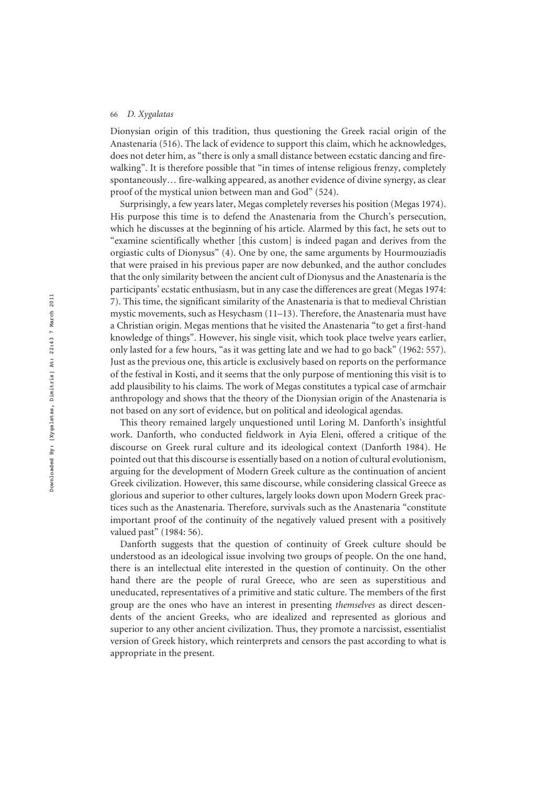Dionysian origin of this tradition, thus questioning the Greek racial origin of the Anastenaria (516). The lack of evidence to support this claim, which he acknowledges, does not deter him, as "there is only a small distance between ecstatic dancing and firewalking". It is therefore possible that "in times of intense religious frenzy, completely spontaneously… fire-walking appeared, as another evidence of divine synergy, as clear proof of the mystical union between man and God" (524).

Surprisingly, a few years later, Megas completely reverses his position (Megas 1974). His purpose this time is to defend the Anastenaria from the Church's persecution, which he discusses at the beginning of his article. Alarmed by this fact, he sets out to "examine scientifically whether [this custom] is indeed pagan and derives from the orgiastic cults of Dionysus" (4). One by one, the same arguments by Hourmouziadis that were praised in his previous paper are now debunked, and the author concludes that the only similarity between the ancient cult of Dionysus and the Anastenaria is the participants' ecstatic enthusiasm, but in any case the differences are great (Megas 1974: 7). This time, the significant similarity of the Anastenaria is that to medieval Christian mystic movements, such as Hesychasm (11–13). Therefore, the Anastenaria must have a Christian origin. Megas mentions that he visited the Anastenaria "to get a first-hand knowledge of things". However, his single visit, which took place twelve years earlier, only lasted for a few hours, "as it was getting late and we had to go back" (1962: 557). Just as the previous one, this article is exclusively based on reports on the performance of the festival in Kosti, and it seems that the only purpose of mentioning this visit is to add plausibility to his claims. The work of Megas constitutes a typical case of armchair anthropology and shows that the theory of the Dionysian origin of the Anastenaria is not based on any sort of evidence, but on political and ideological agendas.

This theory remained largely unquestioned until Loring M. Danforth's insightful work. Danforth, who conducted fieldwork in Ayia Eleni, offered a critique of the discourse on Greek rural culture and its ideological context (Danforth 1984). He pointed out that this discourse is essentially based on a notion of cultural evolutionism, arguing for the development of Modern Greek culture as the continuation of ancient Greek civilization. However, this same discourse, while considering classical Greece as glorious and superior to other cultures, largely looks down upon Modern Greek practices such as the Anastenaria. Therefore, survivals such as the Anastenaria "constitute important proof of the continuity of the negatively valued present with a positively valued past" (1984: 56).

Danforth suggests that the question of continuity of Greek culture should be understood as an ideological issue involving two groups of people. On the one hand, there is an intellectual elite interested in the question of continuity. On the other hand there are the people of rural Greece, who are seen as superstitious and uneducated, representatives of a primitive and static culture. The members of the first group are the ones who have an interest in presenting *themselves* as direct descendents of the ancient Greeks, who are idealized and represented as glorious and superior to any other ancient civilization. Thus, they promote a narcissist, essentialist version of Greek history, which reinterprets and censors the past according to what is appropriate in the present.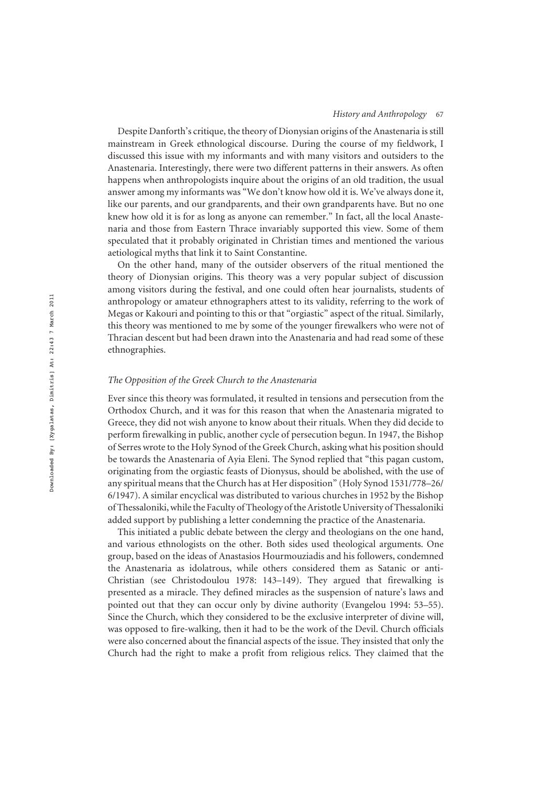Despite Danforth's critique, the theory of Dionysian origins of the Anastenaria is still mainstream in Greek ethnological discourse. During the course of my fieldwork, I discussed this issue with my informants and with many visitors and outsiders to the Anastenaria. Interestingly, there were two different patterns in their answers. As often happens when anthropologists inquire about the origins of an old tradition, the usual answer among my informants was "We don't know how old it is. We've always done it, like our parents, and our grandparents, and their own grandparents have. But no one knew how old it is for as long as anyone can remember." In fact, all the local Anastenaria and those from Eastern Thrace invariably supported this view. Some of them speculated that it probably originated in Christian times and mentioned the various aetiological myths that link it to Saint Constantine.

On the other hand, many of the outsider observers of the ritual mentioned the theory of Dionysian origins. This theory was a very popular subject of discussion among visitors during the festival, and one could often hear journalists, students of anthropology or amateur ethnographers attest to its validity, referring to the work of Megas or Kakouri and pointing to this or that "orgiastic" aspect of the ritual. Similarly, this theory was mentioned to me by some of the younger firewalkers who were not of Thracian descent but had been drawn into the Anastenaria and had read some of these ethnographies.

## *The Opposition of the Greek Church to the Anastenaria*

Ever since this theory was formulated, it resulted in tensions and persecution from the Orthodox Church, and it was for this reason that when the Anastenaria migrated to Greece, they did not wish anyone to know about their rituals. When they did decide to perform firewalking in public, another cycle of persecution begun. In 1947, the Bishop of Serres wrote to the Holy Synod of the Greek Church, asking what his position should be towards the Anastenaria of Ayia Eleni. The Synod replied that "this pagan custom, originating from the orgiastic feasts of Dionysus, should be abolished, with the use of any spiritual means that the Church has at Her disposition" (Holy Synod 1531/778–26/ 6/1947). A similar encyclical was distributed to various churches in 1952 by the Bishop of Thessaloniki, while the Faculty of Theology of the Aristotle University of Thessaloniki added support by publishing a letter condemning the practice of the Anastenaria.

This initiated a public debate between the clergy and theologians on the one hand, and various ethnologists on the other. Both sides used theological arguments. One group, based on the ideas of Anastasios Hourmouziadis and his followers, condemned the Anastenaria as idolatrous, while others considered them as Satanic or anti-Christian (see Christodoulou 1978: 143–149). They argued that firewalking is presented as a miracle. They defined miracles as the suspension of nature's laws and pointed out that they can occur only by divine authority (Evangelou 1994: 53–55). Since the Church, which they considered to be the exclusive interpreter of divine will, was opposed to fire-walking, then it had to be the work of the Devil. Church officials were also concerned about the financial aspects of the issue. They insisted that only the Church had the right to make a profit from religious relics. They claimed that the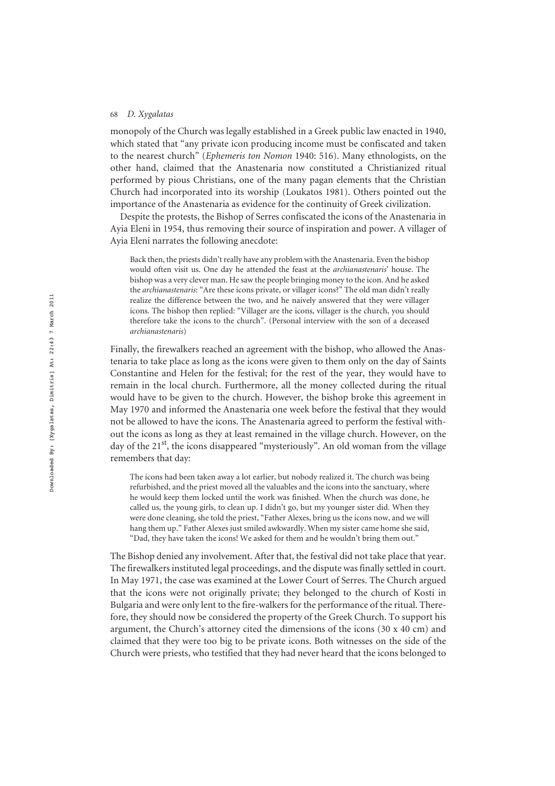monopoly of the Church was legally established in a Greek public law enacted in 1940, which stated that "any private icon producing income must be confiscated and taken to the nearest church" (*Ephemeris ton Nomon* 1940: 516). Many ethnologists, on the other hand, claimed that the Anastenaria now constituted a Christianized ritual performed by pious Christians, one of the many pagan elements that the Christian Church had incorporated into its worship (Loukatos 1981). Others pointed out the importance of the Anastenaria as evidence for the continuity of Greek civilization.

Despite the protests, the Bishop of Serres confiscated the icons of the Anastenaria in Ayia Eleni in 1954, thus removing their source of inspiration and power. A villager of Ayia Eleni narrates the following anecdote:

Back then, the priests didn't really have any problem with the Anastenaria. Even the bishop would often visit us. One day he attended the feast at the *archianastenaris*' house. The bishop was a very clever man. He saw the people bringing money to the icon. And he asked the *archianastenaris*: "Are these icons private, or villager icons?" The old man didn't really realize the difference between the two, and he naively answered that they were villager icons. The bishop then replied: "Villager are the icons, villager is the church, you should therefore take the icons to the church". (Personal interview with the son of a deceased *archianastenaris*)

Finally, the firewalkers reached an agreement with the bishop, who allowed the Anastenaria to take place as long as the icons were given to them only on the day of Saints Constantine and Helen for the festival; for the rest of the year, they would have to remain in the local church. Furthermore, all the money collected during the ritual would have to be given to the church. However, the bishop broke this agreement in May 1970 and informed the Anastenaria one week before the festival that they would not be allowed to have the icons. The Anastenaria agreed to perform the festival without the icons as long as they at least remained in the village church. However, on the day of the  $21<sup>st</sup>$ , the icons disappeared "mysteriously". An old woman from the village remembers that day:

The icons had been taken away a lot earlier, but nobody realized it. The church was being refurbished, and the priest moved all the valuables and the icons into the sanctuary, where he would keep them locked until the work was finished. When the church was done, he called us, the young girls, to clean up. I didn't go, but my younger sister did. When they were done cleaning, she told the priest, "Father Alexes, bring us the icons now, and we will hang them up." Father Alexes just smiled awkwardly. When my sister came home she said, "Dad, they have taken the icons! We asked for them and he wouldn't bring them out."

The Bishop denied any involvement. After that, the festival did not take place that year. The firewalkers instituted legal proceedings, and the dispute was finally settled in court. In May 1971, the case was examined at the Lower Court of Serres. The Church argued that the icons were not originally private; they belonged to the church of Kosti in Bulgaria and were only lent to the fire-walkers for the performance of the ritual. Therefore, they should now be considered the property of the Greek Church. To support his argument, the Church's attorney cited the dimensions of the icons (30 x 40 cm) and claimed that they were too big to be private icons. Both witnesses on the side of the Church were priests, who testified that they had never heard that the icons belonged to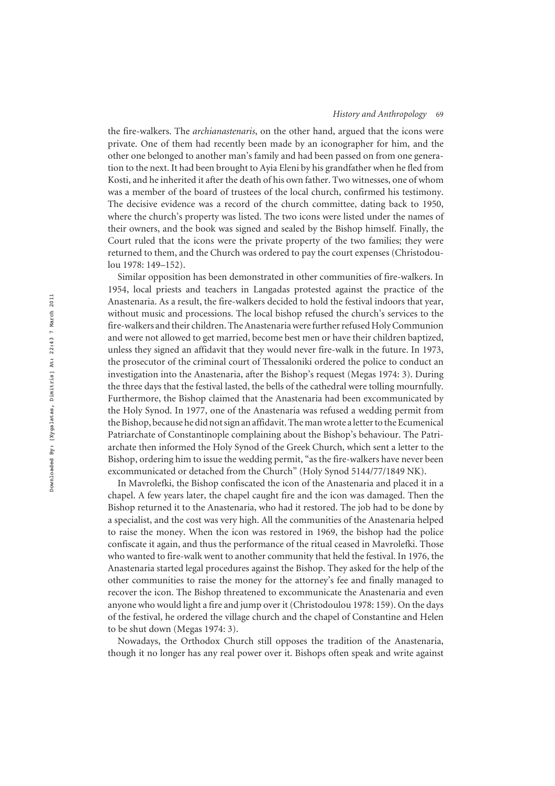the fire-walkers. The *archianastenaris*, on the other hand, argued that the icons were private. One of them had recently been made by an iconographer for him, and the other one belonged to another man's family and had been passed on from one generation to the next. It had been brought to Ayia Eleni by his grandfather when he fled from Kosti, and he inherited it after the death of his own father. Two witnesses, one of whom was a member of the board of trustees of the local church, confirmed his testimony. The decisive evidence was a record of the church committee, dating back to 1950, where the church's property was listed. The two icons were listed under the names of their owners, and the book was signed and sealed by the Bishop himself. Finally, the Court ruled that the icons were the private property of the two families; they were returned to them, and the Church was ordered to pay the court expenses (Christodoulou 1978: 149–152).

Similar opposition has been demonstrated in other communities of fire-walkers. In 1954, local priests and teachers in Langadas protested against the practice of the Anastenaria. As a result, the fire-walkers decided to hold the festival indoors that year, without music and processions. The local bishop refused the church's services to the fire-walkers and their children. The Anastenaria were further refused Holy Communion and were not allowed to get married, become best men or have their children baptized, unless they signed an affidavit that they would never fire-walk in the future. In 1973, the prosecutor of the criminal court of Thessaloniki ordered the police to conduct an investigation into the Anastenaria, after the Bishop's request (Megas 1974: 3). During the three days that the festival lasted, the bells of the cathedral were tolling mournfully. Furthermore, the Bishop claimed that the Anastenaria had been excommunicated by the Holy Synod. In 1977, one of the Anastenaria was refused a wedding permit from the Bishop, because he did not sign an affidavit. The man wrote a letter to the Ecumenical Patriarchate of Constantinople complaining about the Bishop's behaviour. The Patriarchate then informed the Holy Synod of the Greek Church, which sent a letter to the Bishop, ordering him to issue the wedding permit, "as the fire-walkers have never been excommunicated or detached from the Church" (Holy Synod 5144/77/1849 NK).

In Mavrolefki, the Bishop confiscated the icon of the Anastenaria and placed it in a chapel. A few years later, the chapel caught fire and the icon was damaged. Then the Bishop returned it to the Anastenaria, who had it restored. The job had to be done by a specialist, and the cost was very high. All the communities of the Anastenaria helped to raise the money. When the icon was restored in 1969, the bishop had the police confiscate it again, and thus the performance of the ritual ceased in Mavrolefki. Those who wanted to fire-walk went to another community that held the festival. In 1976, the Anastenaria started legal procedures against the Bishop. They asked for the help of the other communities to raise the money for the attorney's fee and finally managed to recover the icon. The Bishop threatened to excommunicate the Anastenaria and even anyone who would light a fire and jump over it (Christodoulou 1978: 159). On the days of the festival, he ordered the village church and the chapel of Constantine and Helen to be shut down (Megas 1974: 3).

Nowadays, the Orthodox Church still opposes the tradition of the Anastenaria, though it no longer has any real power over it. Bishops often speak and write against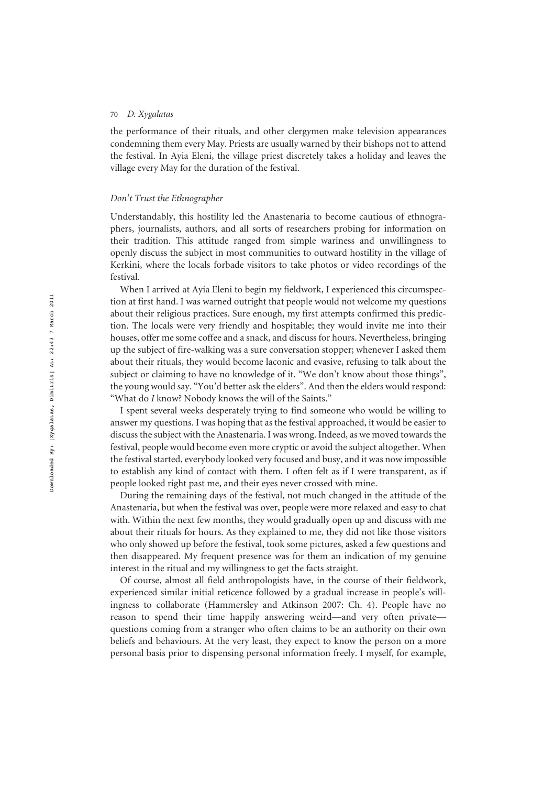the performance of their rituals, and other clergymen make television appearances condemning them every May. Priests are usually warned by their bishops not to attend the festival. In Ayia Eleni, the village priest discretely takes a holiday and leaves the village every May for the duration of the festival.

## *Don't Trust the Ethnographer*

Understandably, this hostility led the Anastenaria to become cautious of ethnographers, journalists, authors, and all sorts of researchers probing for information on their tradition. This attitude ranged from simple wariness and unwillingness to openly discuss the subject in most communities to outward hostility in the village of Kerkini, where the locals forbade visitors to take photos or video recordings of the festival.

When I arrived at Ayia Eleni to begin my fieldwork, I experienced this circumspection at first hand. I was warned outright that people would not welcome my questions about their religious practices. Sure enough, my first attempts confirmed this prediction. The locals were very friendly and hospitable; they would invite me into their houses, offer me some coffee and a snack, and discuss for hours. Nevertheless, bringing up the subject of fire-walking was a sure conversation stopper; whenever I asked them about their rituals, they would become laconic and evasive, refusing to talk about the subject or claiming to have no knowledge of it. "We don't know about those things", the young would say. "You'd better ask the elders". And then the elders would respond: "What do *I* know? Nobody knows the will of the Saints."

I spent several weeks desperately trying to find someone who would be willing to answer my questions. I was hoping that as the festival approached, it would be easier to discuss the subject with the Anastenaria. I was wrong. Indeed, as we moved towards the festival, people would become even more cryptic or avoid the subject altogether. When the festival started, everybody looked very focused and busy, and it was now impossible to establish any kind of contact with them. I often felt as if I were transparent, as if people looked right past me, and their eyes never crossed with mine.

During the remaining days of the festival, not much changed in the attitude of the Anastenaria, but when the festival was over, people were more relaxed and easy to chat with. Within the next few months, they would gradually open up and discuss with me about their rituals for hours. As they explained to me, they did not like those visitors who only showed up before the festival, took some pictures, asked a few questions and then disappeared. My frequent presence was for them an indication of my genuine interest in the ritual and my willingness to get the facts straight.

Of course, almost all field anthropologists have, in the course of their fieldwork, experienced similar initial reticence followed by a gradual increase in people's willingness to collaborate (Hammersley and Atkinson 2007: Ch. 4). People have no reason to spend their time happily answering weird—and very often private questions coming from a stranger who often claims to be an authority on their own beliefs and behaviours. At the very least, they expect to know the person on a more personal basis prior to dispensing personal information freely. I myself, for example,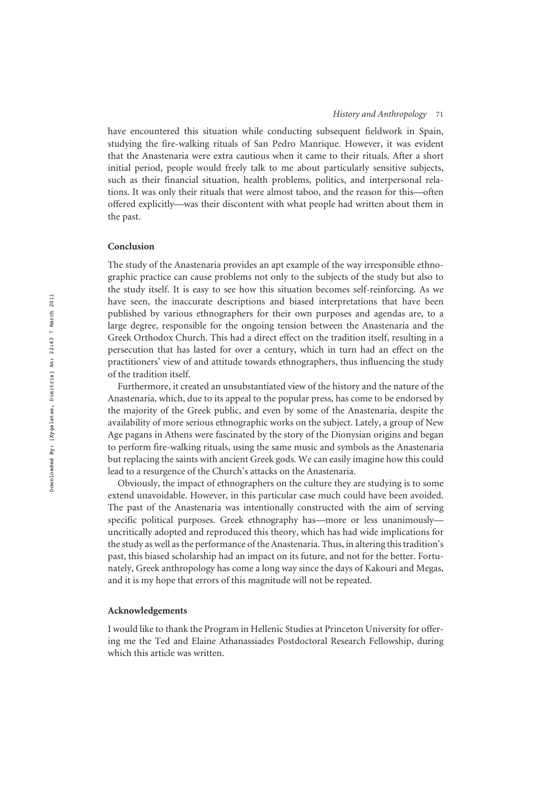have encountered this situation while conducting subsequent fieldwork in Spain, studying the fire-walking rituals of San Pedro Manrique. However, it was evident that the Anastenaria were extra cautious when it came to their rituals. After a short initial period, people would freely talk to me about particularly sensitive subjects, such as their financial situation, health problems, politics, and interpersonal relations. It was only their rituals that were almost taboo, and the reason for this—often offered explicitly—was their discontent with what people had written about them in the past.

## **Conclusion**

The study of the Anastenaria provides an apt example of the way irresponsible ethnographic practice can cause problems not only to the subjects of the study but also to the study itself. It is easy to see how this situation becomes self-reinforcing. As we have seen, the inaccurate descriptions and biased interpretations that have been published by various ethnographers for their own purposes and agendas are, to a large degree, responsible for the ongoing tension between the Anastenaria and the Greek Orthodox Church. This had a direct effect on the tradition itself, resulting in a persecution that has lasted for over a century, which in turn had an effect on the practitioners' view of and attitude towards ethnographers, thus influencing the study of the tradition itself.

Furthermore, it created an unsubstantiated view of the history and the nature of the Anastenaria, which, due to its appeal to the popular press, has come to be endorsed by the majority of the Greek public, and even by some of the Anastenaria, despite the availability of more serious ethnographic works on the subject. Lately, a group of New Age pagans in Athens were fascinated by the story of the Dionysian origins and began to perform fire-walking rituals, using the same music and symbols as the Anastenaria but replacing the saints with ancient Greek gods. We can easily imagine how this could lead to a resurgence of the Church's attacks on the Anastenaria.

Obviously, the impact of ethnographers on the culture they are studying is to some extend unavoidable. However, in this particular case much could have been avoided. The past of the Anastenaria was intentionally constructed with the aim of serving specific political purposes. Greek ethnography has—more or less unanimously uncritically adopted and reproduced this theory, which has had wide implications for the study as well as the performance of the Anastenaria. Thus, in altering this tradition's past, this biased scholarship had an impact on its future, and not for the better. Fortunately, Greek anthropology has come a long way since the days of Kakouri and Megas, and it is my hope that errors of this magnitude will not be repeated.

# **Acknowledgements**

I would like to thank the Program in Hellenic Studies at Princeton University for offering me the Ted and Elaine Athanassiades Postdoctoral Research Fellowship, during which this article was written.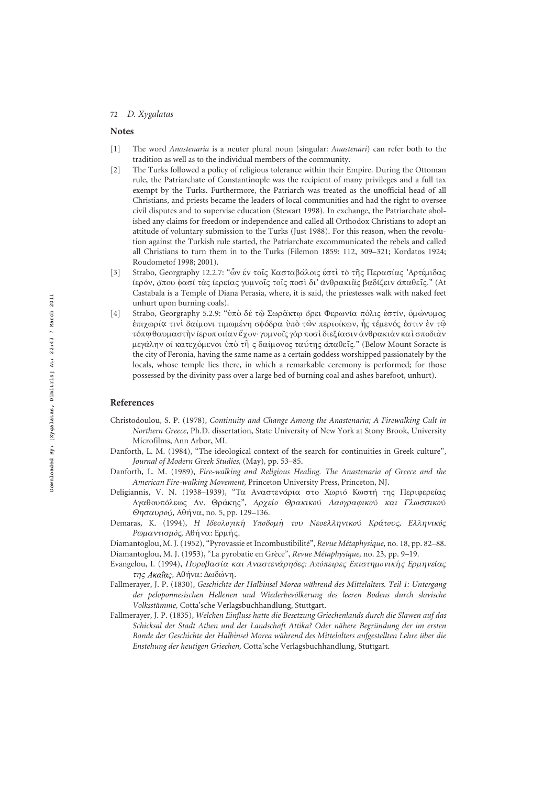#### **Notes**

- $[1]$ [1] The word *Anastenaria* is a neuter plural noun (singular: *Anastenari*) can refer both to the tradition as well as to the individual members of the community.
- $[2]$ The Turks followed a policy of religious tolerance within their Empire. During the Ottoman rule, the Patriarchate of Constantinople was the recipient of many privileges and a full tax exempt by the Turks. Furthermore, the Patriarch was treated as the unofficial head of all Christians, and priests became the leaders of local communities and had the right to oversee civil disputes and to supervise education (Stewart 1998). In exchange, the Patriarchate abolished any claims for freedom or independence and called all Orthodox Christians to adopt an attitude of voluntary submission to the Turks (Just 1988). For this reason, when the revolution against the Turkish rule started, the Patriarchate excommunicated the rebels and called all Christians to turn them in to the Turks (Filemon 1859: 112, 309–321; Kordatos 1924; Roudometof 1998; 2001).
- 3 [3] Strabo, Georgraphy 12.2.7: "ών έν τοις Κασταβάλοις έστι το της Περασίας 'Αρτέμιδας ίερόν, σπου φασί τὰς ίερείας γυμνοῖς τοῖς ποσὶ δι' άνθρακιᾶς βαδίζειν άπαθεῖς." (At Castabala is a Temple of Diana Perasia, where, it is said, the priestesses walk with naked feet unhurt upon burning coals).
- $\lceil 4 \rceil$ [4] Strabo, Georgraphy 5.2.9: "υπο δε τῷ Σωρακτῳ σρει Φερωνία πόλις εστίν, όμώνυμος ὲπιχωρία τινὶ δαίμονι τιμωμένη σφόδρα ὺπὸ τῶν περιοίκων, ἧς τέμενός ὲστιν ὲν τῷ τόπω θαυμαστὴν ίεροπ οιίαν έχον· γυμνοῖς γὰρ ποσὶ διεξίασιν ὰνθρακιὰν καὶ σποδιὰν μεγάλην οί κατεχόμενοι ὺπὸ τῆ ς δαίμονος ταύτης άπαθεῖς." (Below Mount Soracte is the city of Feronia, having the same name as a certain goddess worshipped passionately by the locals, whose temple lies there, in which a remarkable ceremony is performed; for those possessed by the divinity pass over a large bed of burning coal and ashes barefoot, unhurt).

## **References**

- Christodoulou, S. P. (1978), *Continuity and Change Among the Anastenaria; A Firewalking Cult in Northern Greece*, Ph.D. dissertation, State University of New York at Stony Brook, University Microfilms, Ann Arbor, MI.
- Danforth, L. M. (1984), "The ideological context of the search for continuities in Greek culture", *Journal of Modern Greek Studies,* (May)*,* pp. 53–85.
- Danforth, L. M. (1989), *Fire-walking and Religious Healing. The Anastenaria of Greece and the American Fire-walking Movement,* Princeton University Press, Princeton, NJ.
- Deligiannis, V. N. (1938–1939), "Τα Αναστενάρια στο Χωριό Κωστή της Περιφερείας Aγαθουπόλεως Av. Θράκης", *Αρχείο Θρακικού Λαογραφικού και Γλωσσικού* Θησαυρού, Αθήνα, no. 5, pp. 129-136.
- Demaras, K. (1994), *H Ιδεολογική Υποδομή του Νεοελληνικού Κράτους, Ελληνικός Pωμαντισμός, Αθήνα: Ερμής.*

Diamantoglou, M. J. (1952), "Pyrovassie et Incombustibilité", *Revue Métaphysique,* no. 18, pp. 82–88.

- Diamantoglou, M. J. (1953), "La pyrobatie en Grèce", *Revue Métaphysique,* no. 23, pp. 9–19.
- Evangelou, I. (1994), Πυροβασία και Αναστενάρηδες: Απόπειρες Επιστημονικής Ερμηνείας της Ακαΐας, Αθήνα: Δωδώνη.
- Fallmerayer, J. P. (1830), *Geschichte der Halbinsel Morea während des Mittelalters. Teil 1: Untergang der peloponnesischen Hellenen und Wiederbevölkerung des leeren Bodens durch slavische Volksstämme,* Cotta'sche Verlagsbuchhandlung, Stuttgart.
- Fallmerayer, J. P. (1835), *Welchen Einfluss hatte die Besetzung Griechenlands durch die Slawen auf das Schicksal der Stadt Athen und der Landschaft Attika? Oder nähere Begründung der im ersten Bande der Geschichte der Halbinsel Morea während des Mittelalters aufgestellten Lehre über die Enstehung der heutigen Griechen,* Cotta'sche Verlagsbuchhandlung, Stuttgart.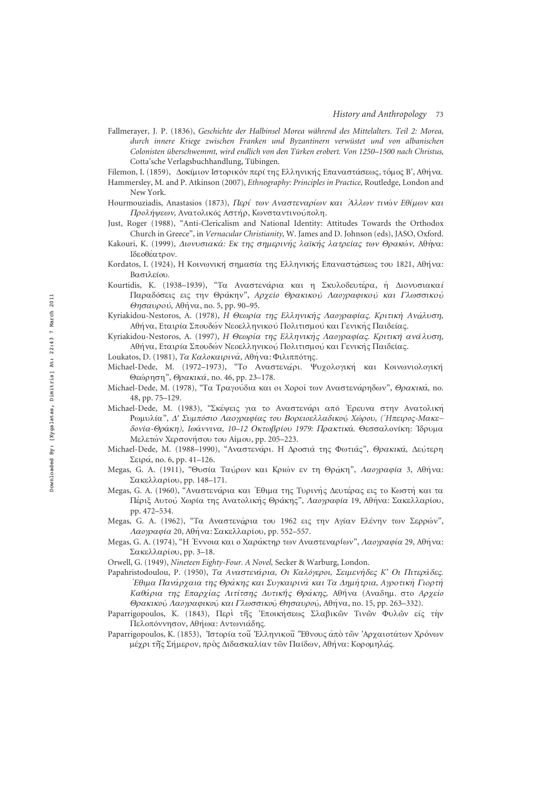Fallmerayer, J. P. (1836), *Geschichte der Halbinsel Morea während des Mittelalters. Teil 2: Morea, durch innere Kriege zwischen Franken und Byzantinern verwüstet und von albanischen Colonisten überschwemmt, wird endlich von den Türken erobert. Von 1250–1500 nach Christus,* Cotta'sche Verlagsbuchhandlung, Tübingen.

Filemon, I. (1859), Δοκίμιον Ιστορικόν περί της Ελληνικής Επαναστάσεως, τόμος Β', Αθήνα.

- Hammersley, M. and P. Atkinson (2007), *Ethnography: Principles in Practice,* Routledge, London and New York.
- Hourmouziadis, Anastasios (1873), Περί των Αναστεναρίων και *Άλλων τιν*ών Εθίμων και Προλήψεων, Ανατολικός Αστήρ, Κωνσταντινούπολη.
- Just, Roger (1988), "Anti-Clericalism and National Identity: Attitudes Towards the Orthodox Church in Greece", in *Vernacular Christianity,* W. James and D. Johnson (eds), JASO, Oxford.
- Kakouri, K. (1999), Διονυσιακά: Εκ της σημερινής λαϊκής λατρείας των Θρακών, Αθήνα: Ιδεοθέατρον.
- Kordatos, I. (1924), Η Κοινωνική σημασία της Ελληνικής Επαναστάσεως του 1821, Αθήνα: Βασιλείου.
- Kourtidis, K. (1938–1939), "Τα Αναστενάρια και η Σκυλοδευτέρα, ή ∆ιονυσιακα*ί*  $\Pi$ αραδόσεις εις την Θράκην", *Αρχείο Θρακικού Λαογραφικού και Γλωσσικού* Θησαυρού, Αθήνα, no. 5, pp. 90-95.
- Kyriakidou-Nestoros, A. (1978), *H Θεωρία της Ελληνικής Λαογραφίας. Κριτική Ανάλυση,* Aθήνα, Εταιρία Σπουδών Νεοελληνικού Πολιτισμού και Γενικής Παιδείας.

Kyriakidou-Nestoros, A. (1997), *Η Θεωρία της Ελληνικής Λαογραφίας. Κριτική ανάλυση,* Αθήνα, Εταιρία Σπουδών Νεοελληνικού Πολιτισμού και Γενικής Παιδείας.

- Loukatos, D. (1981), *Τα Καλοκαιρινά, Α*θήνα: Φιλιππότης.
- Michael-Dede, M. (1972–1973), "Το Αναστενάρι. Ψυχολογική και Κοινωνιολογική Θεώρηση", *Θρακικά*, no. 46, pp. 23–178.
- Michael-Dede, M. (1978), "Τα Τραγούδια και οι Χοροί των Αναστενάρηδων", *Θρακικ*ά, no. 48, pp. 75–129.
- Michael-Dede, M. (1983), "Σκέψεις για το Αναστενάρι από Έρευνα στην Ανατολική Pωμυλία", Δ΄ Συμπόσιο Λαογραφίας του Βορειοελλαδικού Χώρου, (΄Ηπειρος-Μακε− *δονία-Θράκη), Ιωάννινα, 10–12 Οκτωβρίου 1979: Πρακτικά. Θεσσαλονίκη: Ίδρυμα* Μελετών Χερσονήσου του Αίμου, pp. 205–223.
- Michael-Dede, M. (1988–1990), "Αναστενάρι. Η Δροσιά της Φωτιάς", *Θρακικ*ά, Δεύτερη  $\Sigma$ ειρά, no. 6, pp. 41–126.
- Megas, G. A. (1911), <sup>«</sup>Θυσία Ταύρων και Κριών εν τη Θράκη", *Λαογραφία* 3, Αθήνα:  $\Sigma$ ακελλαρίου, pp. 148–171.
- Megas, G. A. (1960), "Αναστενάρια και Έθιμα της Τυρινής Δευτέρας εις το Κωστή και τα Πέριξ Αυτού Χωρία της Ανατολικής Θράκης", *Λαογραφία* 19, Αθήνα: Σακελλαρίου, pp. 472–534.
- Megas, G. A. (1962), "Τα Αναστενάρια του 1962 εις την Αγίαν Ελένην των Σερρών",  $\Lambda$ α*oγραφία* 20, Αθήνα: Σακελλαρίου, pp. 552–557.
- Megas, G. A. (1974), "Η Έννοια και ο Χαράκτηρ των Αναστεναρίων", *Λαογραφία* 29, Αθήνα: Σακελλαρίου, pp. 3–18.
- Orwell, G. (1949), *Nineteen Eighty-Four. A Novel,* Secker & Warburg, London.
- Papahristodoulou, P. (1950), *Τα Αναστενάρια, Οι Καλόγεροι, Σειμενήδες Κ' Οι Πιτεράδες.* ΄ Έθιμα Πανάρχαια της Θράκης και Συγκαιρινά και Τα Δημήτρια, Αγροτική Γιορτή *Kαθάρια της Επαρχίας Λιτίτσης Δυτικής Θράκης, Αθήνα (Αναδημ. στo <i>Αρχείο* Θρακικού Λαογραφικού και Γλωσσικού Θησαυρού, Αθήνα, no. 15, pp. 263–332).
- Ραparrigopoulos, Κ. (1843), Περί τῆς Ἐποικήσεως Σλαβικῶν Τινῶν Φυλῶν είς τὴν Πελοπόννησον, Αθήωα: Αντωνιάδης.
- Paparrigopoulos, K. (1853), Ἰστορία τοῦ 'Ελληνικοῦ "Εθνους άπὸ τῶν 'Αρχαιοτάτων Χρόνων μέχρι τῆς Σήμερον, πρὸς Διδασκαλίαν τῶν Παίδων, Αθήνα: Κορομηλάς.